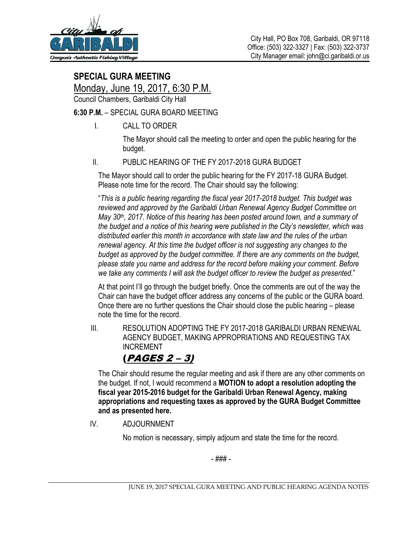

## **SPECIAL GURA MEETING**

Monday, June 19, 2017, 6:30 P.M.

Council Chambers, Garibaldi City Hall

### **6:30 P.M.** – SPECIAL GURA BOARD MEETING

I. CALL TO ORDER

The Mayor should call the meeting to order and open the public hearing for the budget.

### II. PUBLIC HEARING OF THE FY 2017-2018 GURA BUDGET

The Mayor should call to order the public hearing for the FY 2017-18 GURA Budget. Please note time for the record. The Chair should say the following:

"*This is a public hearing regarding the fiscal year 2017-2018 budget. This budget was reviewed and approved by the Garibaldi Urban Renewal Agency Budget Committee on May 30th, 2017. Notice of this hearing has been posted around town, and a summary of the budget and a notice of this hearing were published in the City's newsletter, which was distributed earlier this month in accordance with state law and the rules of the urban renewal agency. At this time the budget officer is not suggesting any changes to the budget as approved by the budget committee. If there are any comments on the budget, please state you name and address for the record before making your comment. Before we take any comments I will ask the budget officer to review the budget as presented.*"

At that point I'll go through the budget briefly. Once the comments are out of the way the Chair can have the budget officer address any concerns of the public or the GURA board. Once there are no further questions the Chair should close the public hearing – please note the time for the record.

 III. RESOLUTION ADOPTING THE FY 2017-2018 GARIBALDI URBAN RENEWAL AGENCY BUDGET, MAKING APPROPRIATIONS AND REQUESTING TAX INCREMENT

## (PAGES 2 – 3)

The Chair should resume the regular meeting and ask if there are any other comments on the budget. If not, I would recommend a **MOTION to adopt a resolution adopting the fiscal year 2015-2016 budget for the Garibaldi Urban Renewal Agency, making appropriations and requesting taxes as approved by the GURA Budget Committee and as presented here.** 

IV. ADJOURNMENT

No motion is necessary, simply adjourn and state the time for the record.

- ### -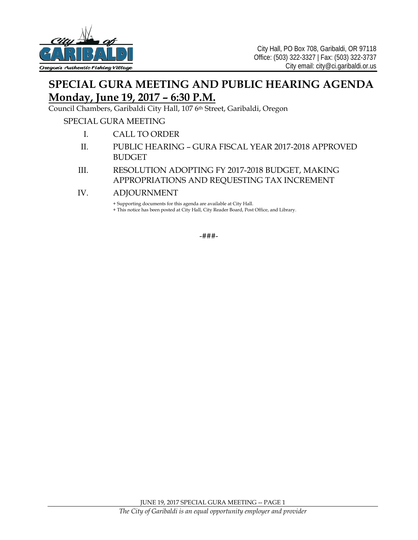

# **SPECIAL GURA MEETING AND PUBLIC HEARING AGENDA Monday, June 19, 2017 – 6:30 P.M.**

Council Chambers, Garibaldi City Hall, 107 6<sup>th</sup> Street, Garibaldi, Oregon

### SPECIAL GURA MEETING

- I. CALL TO ORDER
- II. PUBLIC HEARING GURA FISCAL YEAR 2017-2018 APPROVED BUDGET
- III. RESOLUTION ADOPTING FY 2017-2018 BUDGET, MAKING APPROPRIATIONS AND REQUESTING TAX INCREMENT
- IV. ADJOURNMENT

+ Supporting documents for this agenda are available at City Hall.

+ This notice has been posted at City Hall, City Reader Board, Post Office, and Library.

-###-